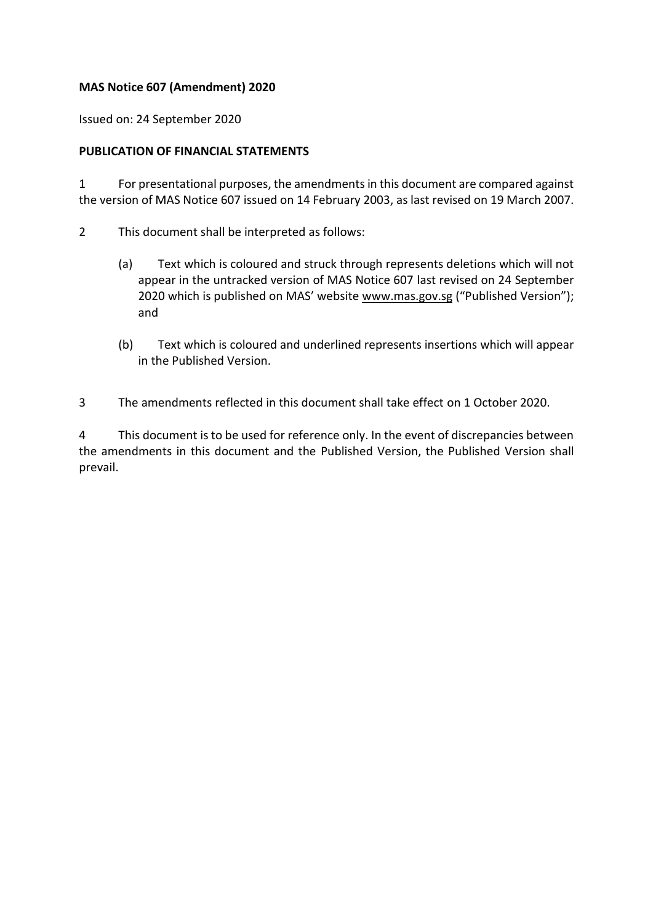## **MAS Notice 607 (Amendment) 2020**

Issued on: 24 September 2020

## **PUBLICATION OF FINANCIAL STATEMENTS**

1 For presentational purposes, the amendments in this document are compared against the version of MAS Notice 607 issued on 14 February 2003, as last revised on 19 March 2007.

- 2 This document shall be interpreted as follows:
	- (a) Text which is coloured and struck through represents deletions which will not appear in the untracked version of MAS Notice 607 last revised on 24 September 2020 which is published on MAS' website [www.mas.gov.sg](http://www.mas.gov.sg/) ("Published Version"); and
	- (b) Text which is coloured and underlined represents insertions which will appear in the Published Version.

3 The amendments reflected in this document shall take effect on 1 October 2020.

4 This document is to be used for reference only. In the event of discrepancies between the amendments in this document and the Published Version, the Published Version shall prevail.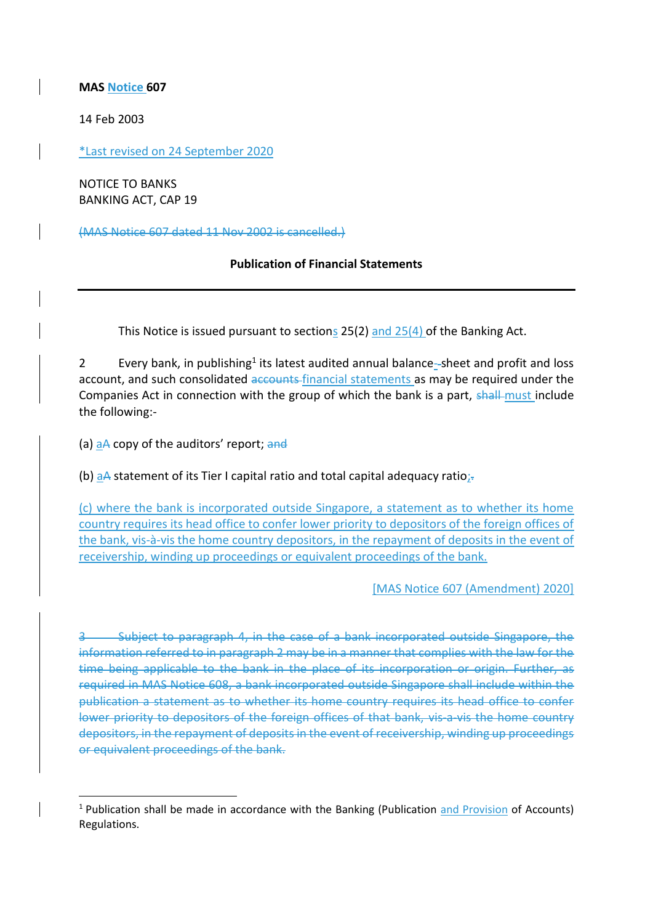**MAS Notice 607**

14 Feb 2003

\*Last revised on 24 September 2020

NOTICE TO BANKS BANKING ACT, CAP 19

(MAS Notice 607 dated 11 Nov 2002 is cancelled.)

## **Publication of Financial Statements**

This Notice is issued pursuant to sections 25(2) and 25(4) of the Banking Act.

2 Every bank, in publishing<sup>1</sup> its latest audited annual balance-sheet and profit and loss account, and such consolidated accounts financial statements as may be required under the Companies Act in connection with the group of which the bank is a part, shall must include the following:-

(a) aA copy of the auditors' report; and

(b) aA statement of its Tier I capital ratio and total capital adequacy ratio;-

(c) where the bank is incorporated outside Singapore, a statement as to whether its home country requires its head office to confer lower priority to depositors of the foreign offices of the bank, vis-à-vis the home country depositors, in the repayment of deposits in the event of receivership, winding up proceedings or equivalent proceedings of the bank.

[MAS Notice 607 (Amendment) 2020]

-Subject to paragraph 4, in the case of a bank incorporated outside Singapore, the information referred to in paragraph 2 may be in a manner that complies with the law for the time being applicable to the bank in the place of its incorporation or origin. Further, as required in MAS Notice 608, a bank incorporated outside Singapore shall include within the publication a statement as to whether its home country requires its head office to confer lower priority to depositors of the foreign offices of that bank, vis a vis the home country depositors, in the repayment of deposits in the event of receivership, winding up proceedings or equivalent proceedings of the bank.

<sup>1</sup> Publication shall be made in accordance with the Banking (Publication and Provision of Accounts) Regulations.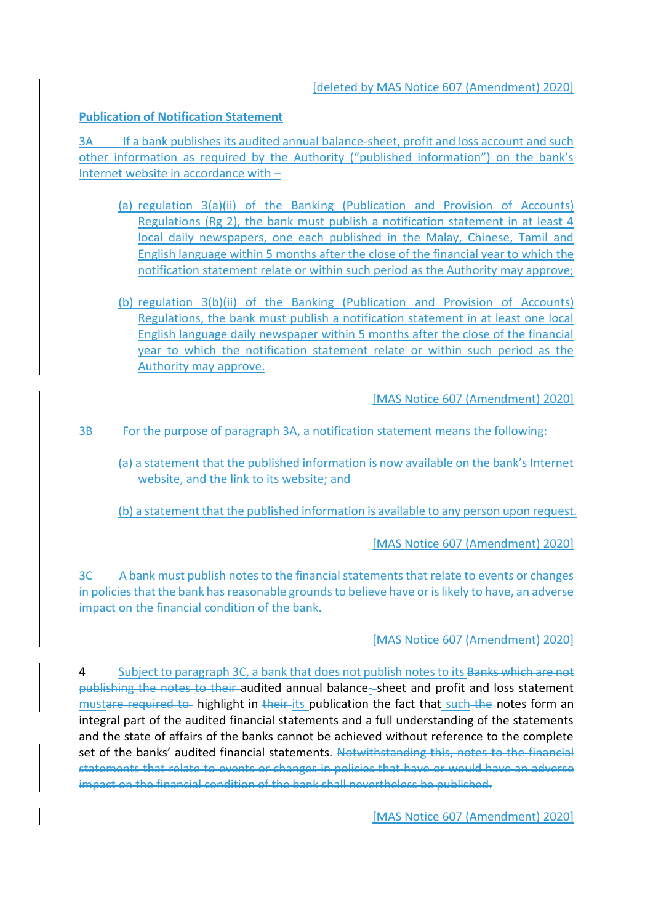[deleted by MAS Notice 607 (Amendment) 2020]

## **Publication of Notification Statement**

3A If a bank publishes its audited annual balance-sheet, profit and loss account and such other information as required by the Authority ("published information") on the bank's Internet website in accordance with –

- (a) regulation 3(a)(ii) of the Banking (Publication and Provision of Accounts) Regulations (Rg 2), the bank must publish a notification statement in at least 4 local daily newspapers, one each published in the Malay, Chinese, Tamil and English language within 5 months after the close of the financial year to which the notification statement relate or within such period as the Authority may approve;
- (b) regulation 3(b)(ii) of the Banking (Publication and Provision of Accounts) Regulations, the bank must publish a notification statement in at least one local English language daily newspaper within 5 months after the close of the financial year to which the notification statement relate or within such period as the Authority may approve.

[MAS Notice 607 (Amendment) 2020]

3B For the purpose of paragraph 3A, a notification statement means the following:

(a) a statement that the published information is now available on the bank's Internet website, and the link to its website; and

(b) a statement that the published information is available to any person upon request.

[MAS Notice 607 (Amendment) 2020]

3C A bank must publish notes to the financial statements that relate to events or changes in policies that the bank has reasonable grounds to believe have or is likely to have, an adverse impact on the financial condition of the bank.

[MAS Notice 607 (Amendment) 2020]

4 Subject to paragraph 3C, a bank that does not publish notes to its Banks which are not publishing the notes to their audited annual balance- sheet and profit and loss statement mustare required to highlight in their its publication the fact that such the notes form an integral part of the audited financial statements and a full understanding of the statements and the state of affairs of the banks cannot be achieved without reference to the complete set of the banks' audited financial statements. Notwithstanding this, notes to the financial statements that relate to events or changes in policies that have or would have an adverse impact on the financial condition of the bank shall nevertheless be published.

[MAS Notice 607 (Amendment) 2020]